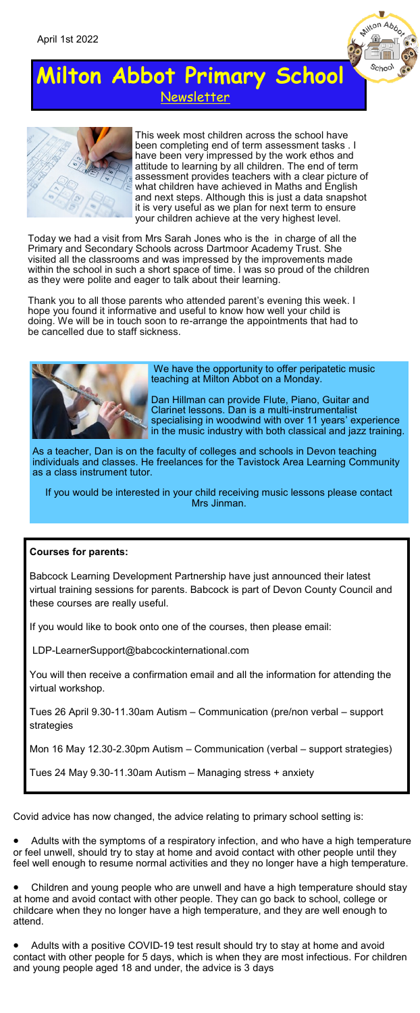



This week most children across the school have been completing end of term assessment tasks . I have been very impressed by the work ethos and attitude to learning by all children. The end of term assessment provides teachers with a clear picture of what children have achieved in Maths and English and next steps. Although this is just a data snapshot it is very useful as we plan for next term to ensure your children achieve at the very highest level.

۷ Milton Abboy

 $\frac{1}{2}$ 

Today we had a visit from Mrs Sarah Jones who is the in charge of all the Primary and Secondary Schools across Dartmoor Academy Trust. She visited all the classrooms and was impressed by the improvements made within the school in such a short space of time. I was so proud of the children as they were polite and eager to talk about their learning.

Thank you to all those parents who attended parent's evening this week. I hope you found it informative and useful to know how well your child is doing. We will be in touch soon to re-arrange the appointments that had to be cancelled due to staff sickness.



We have the opportunity to offer peripatetic music teaching at Milton Abbot on a Monday.

Dan Hillman can provide Flute, Piano, Guitar and Clarinet lessons. Dan is a multi-instrumentalist specialising in woodwind with over 11 years' experience in the music industry with both classical and jazz training.

As a teacher, Dan is on the faculty of colleges and schools in Devon teaching individuals and classes. He freelances for the Tavistock Area Learning Community as a class instrument tutor.

If you would be interested in your child receiving music lessons please contact Mrs Jinman.

### **Courses for parents:**

Babcock Learning Development Partnership have just announced their latest virtual training sessions for parents. Babcock is part of Devon County Council and these courses are really useful.

If you would like to book onto one of the courses, then please email:

LDP-LearnerSupport@babcockinternational.com

You will then receive a confirmation email and all the information for attending the virtual workshop.

Tues 26 April 9.30-11.30am Autism – Communication (pre/non verbal – support strategies

Mon 16 May 12.30-2.30pm Autism – Communication (verbal – support strategies)

Tues 24 May 9.30-11.30am Autism – Managing stress + anxiety

Covid advice has now changed, the advice relating to primary school setting is:

• Adults with the symptoms of a respiratory infection, and who have a high temperature or feel unwell, should try to stay at home and avoid contact with other people until they feel well enough to resume normal activities and they no longer have a high temperature.

• Children and young people who are unwell and have a high temperature should stay at home and avoid contact with other people. They can go back to school, college or childcare when they no longer have a high temperature, and they are well enough to attend.

• Adults with a positive COVID-19 test result should try to stay at home and avoid contact with other people for 5 days, which is when they are most infectious. For children and young people aged 18 and under, the advice is 3 days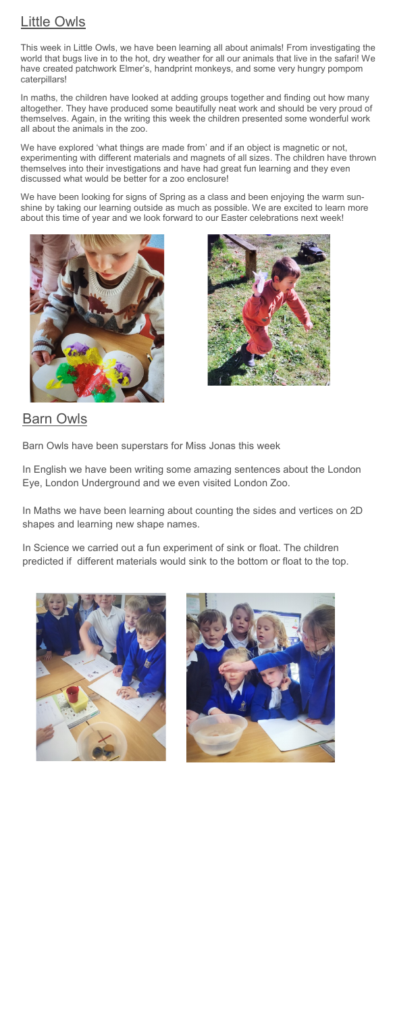## Little Owls

This week in Little Owls, we have been learning all about animals! From investigating the world that bugs live in to the hot, dry weather for all our animals that live in the safari! We have created patchwork Elmer's, handprint monkeys, and some very hungry pompom caterpillars!

In maths, the children have looked at adding groups together and finding out how many altogether. They have produced some beautifully neat work and should be very proud of themselves. Again, in the writing this week the children presented some wonderful work all about the animals in the zoo.

We have explored 'what things are made from' and if an object is magnetic or not, experimenting with different materials and magnets of all sizes. The children have thrown themselves into their investigations and have had great fun learning and they even discussed what would be better for a zoo enclosure!

We have been looking for signs of Spring as a class and been enjoying the warm sunshine by taking our learning outside as much as possible. We are excited to learn more about this time of year and we look forward to our Easter celebrations next week!





## Barn Owls

Barn Owls have been superstars for Miss Jonas this week

In English we have been writing some amazing sentences about the London Eye, London Underground and we even visited London Zoo.

In Maths we have been learning about counting the sides and vertices on 2D shapes and learning new shape names.

In Science we carried out a fun experiment of sink or float. The children predicted if different materials would sink to the bottom or float to the top.